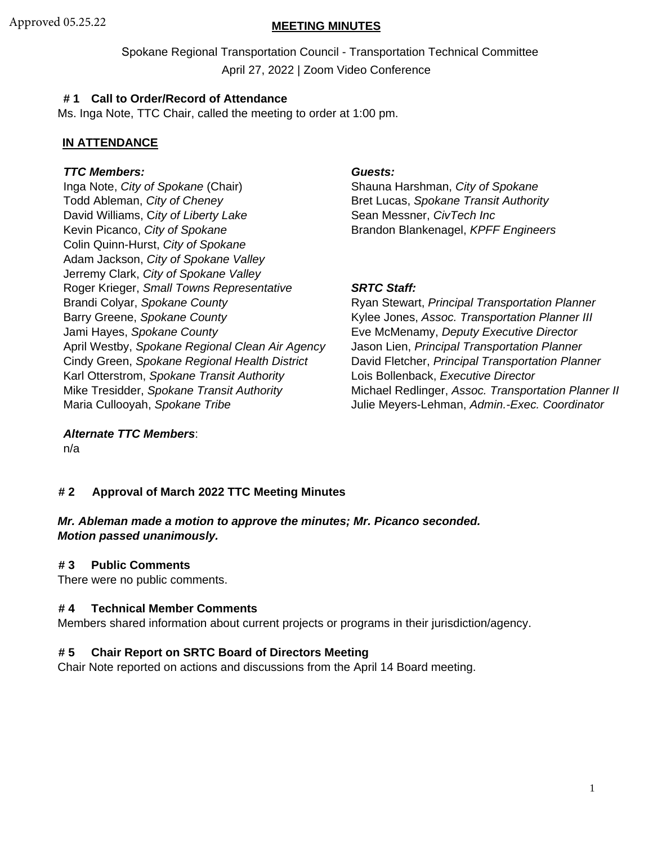# Approved 05.25.22 MEETING MINUTES

Spokane Regional Transportation Council - Transportation Technical Committee April 27, 2022 | Zoom Video Conference

### **# 1 Call to Order/Record of Attendance**

Ms. Inga Note, TTC Chair, called the meeting to order at 1:00 pm.

### **IN ATTENDANCE**

#### *TTC Members: Guests:*

Inga Note, *City of Spokane* (Chair) Shauna Harshman, *City of Spokane* Todd Ableman, *City of Cheney* Bret Lucas, *Spokane Transit Authority* David Williams, City of Liberty Lake Sean Messner, CivTech Inc Kevin Picanco, *City of Spokane* **Brandon Blankenagel**, *KPFF Engineers* Colin Quinn-Hurst, *City of Spokane* Adam Jackson, *City of Spokane Valley* Jerremy Clark, *City of Spokane Valley* Roger Krieger, *Small Towns Representative SRTC Staff:* Brandi Colyar, *Spokane County* **Ryan Stewart**, *Principal Transportation Planner* Barry Greene, *Spokane County* **Kylee Jones, Assoc.** *Transportation Planner III* Jami Hayes, *Spokane County* **Exercisial Eve McMenamy**, *Deputy Executive Director* April Westby, *Spokane Regional Clean Air Agency* Jason Lien, *Principal Transportation Planner* Cindy Green, *Spokane Regional Health District* David Fletcher, *Principal Transportation Planner*  Karl Otterstrom, *Spokane Transit Authority* Lois Bollenback, *Executive Director* Maria Cullooyah, *Spokane Tribe* Julie Meyers-Lehman, *Admin.-Exec. Coordinator*

Mike Tresidder, *Spokane Transit Authority* Michael Redlinger, *Assoc. Transportation Planner II*

#### *Alternate TTC Members*:

n/a

# **# 2 Approval of March 2022 TTC Meeting Minutes**

#### *Mr. Ableman made a motion to approve the minutes; Mr. Picanco seconded. Motion passed unanimously.*

#### **# 3 Public Comments**

There were no public comments.

#### **# 4 Technical Member Comments**

Members shared information about current projects or programs in their jurisdiction/agency.

#### **# 5 Chair Report on SRTC Board of Directors Meeting**

Chair Note reported on actions and discussions from the April 14 Board meeting.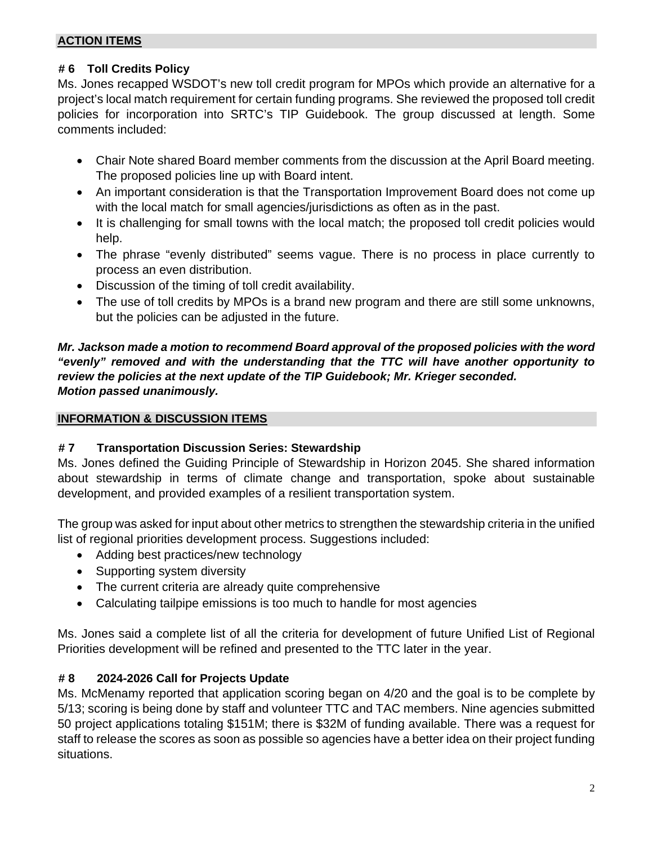# **ACTION ITEMS**

#### **# 6 Toll Credits Policy**

Ms. Jones recapped WSDOT's new toll credit program for MPOs which provide an alternative for a project's local match requirement for certain funding programs. She reviewed the proposed toll credit policies for incorporation into SRTC's TIP Guidebook. The group discussed at length. Some comments included:

- Chair Note shared Board member comments from the discussion at the April Board meeting. The proposed policies line up with Board intent.
- An important consideration is that the Transportation Improvement Board does not come up with the local match for small agencies/jurisdictions as often as in the past.
- It is challenging for small towns with the local match; the proposed toll credit policies would help.
- The phrase "evenly distributed" seems vague. There is no process in place currently to process an even distribution.
- Discussion of the timing of toll credit availability.
- The use of toll credits by MPOs is a brand new program and there are still some unknowns, but the policies can be adjusted in the future.

#### *Mr. Jackson made a motion to recommend Board approval of the proposed policies with the word "evenly" removed and with the understanding that the TTC will have another opportunity to review the policies at the next update of the TIP Guidebook; Mr. Krieger seconded. Motion passed unanimously.*

# **INFORMATION & DISCUSSION ITEMS**

# **# 7 Transportation Discussion Series: Stewardship**

Ms. Jones defined the Guiding Principle of Stewardship in Horizon 2045. She shared information about stewardship in terms of climate change and transportation, spoke about sustainable development, and provided examples of a resilient transportation system.

The group was asked for input about other metrics to strengthen the stewardship criteria in the unified list of regional priorities development process. Suggestions included:

- Adding best practices/new technology
- Supporting system diversity
- The current criteria are already quite comprehensive
- Calculating tailpipe emissions is too much to handle for most agencies

Ms. Jones said a complete list of all the criteria for development of future Unified List of Regional Priorities development will be refined and presented to the TTC later in the year.

# **# 8 2024-2026 Call for Projects Update**

Ms. McMenamy reported that application scoring began on 4/20 and the goal is to be complete by 5/13; scoring is being done by staff and volunteer TTC and TAC members. Nine agencies submitted 50 project applications totaling \$151M; there is \$32M of funding available. There was a request for staff to release the scores as soon as possible so agencies have a better idea on their project funding situations.